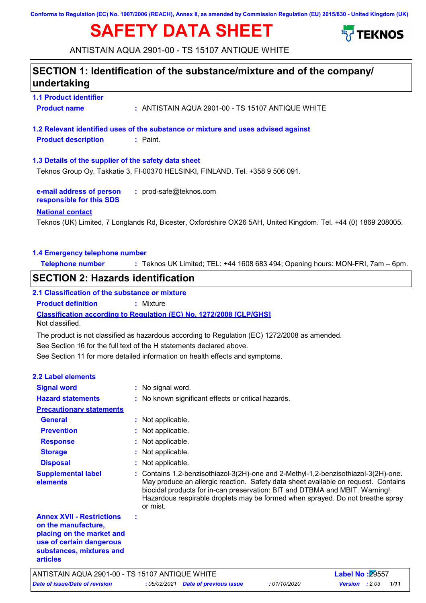**Conforms to Regulation (EC) No. 1907/2006 (REACH), Annex II, as amended by Commission Regulation (EU) 2015/830 - United Kingdom (UK)**

# **SAFETY DATA SHEET**



ANTISTAIN AQUA 2901-00 - TS 15107 ANTIQUE WHITE

### **1.1 Product identifier 1.3 Details of the supplier of the safety data sheet e-mail address of person responsible for this SDS :** prod-safe@teknos.com **1.2 Relevant identified uses of the substance or mixture and uses advised against SECTION 1: Identification of the substance/mixture and of the company/ undertaking National contact 1.4 Emergency telephone number Telephone number :** Teknos UK Limited; TEL: +44 1608 683 494; Opening hours: MON-FRI, 7am – 6pm. **Product name :** ANTISTAIN AQUA 2901-00 - TS 15107 ANTIQUE WHITE **Product description :** Paint. Teknos (UK) Limited, 7 Longlands Rd, Bicester, Oxfordshire OX26 5AH, United Kingdom. Tel. +44 (0) 1869 208005. Teknos Group Oy, Takkatie 3, FI-00370 HELSINKI, FINLAND. Tel. +358 9 506 091. See Section 11 for more detailed information on health effects and symptoms. **Classification according to Regulation (EC) No. 1272/2008 [CLP/GHS] SECTION 2: Hazards identification 2.1 Classification of the substance or mixture Product definition :** Mixture See Section 16 for the full text of the H statements declared above. **2.2 Label elements Signal word : Hazard statements : Prevention : Precautionary statements Response :** : No signal word. : No known significant effects or critical hazards. : Not applicable. : Not applicable. Not classified. **General :** Not applicable. The product is not classified as hazardous according to Regulation (EC) 1272/2008 as amended.

**Storage : Disposal :** : Not applicable. : Not applicable. **Annex XVII - Restrictions on the manufacture, placing on the market and : Supplemental label elements :** Contains 1,2-benzisothiazol-3(2H)-one and 2-Methyl-1,2-benzisothiazol-3(2H)-one. May produce an allergic reaction. Safety data sheet available on request. Contains biocidal products for in-can preservation: BIT and DTBMA and MBIT. Warning! Hazardous respirable droplets may be formed when sprayed. Do not breathe spray or mist.

*Date of issue/Date of revision* **:** *05/02/2021 Date of previous issue : 01/10/2020 Version : 2.03 1/11* ANTISTAIN AQUA 2901-00 - TS 15107 ANTIQUE WHITE **Label No :**29557

**use of certain dangerous substances, mixtures and** 

**articles**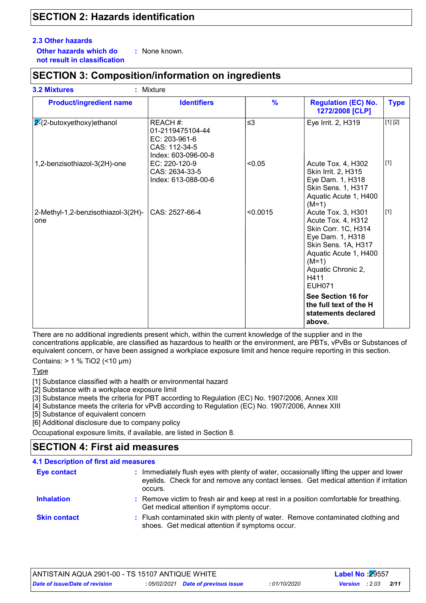### **SECTION 2: Hazards identification**

#### **2.3 Other hazards**

**Other hazards which do : not result in classification** : None known.

### **SECTION 3: Composition/information on ingredients**

| <b>Product/ingredient name</b>            | <b>Identifiers</b>                                                                    | $\frac{9}{6}$ | <b>Regulation (EC) No.</b><br>1272/2008 [CLP]                                                                                                                                                 | <b>Type</b> |
|-------------------------------------------|---------------------------------------------------------------------------------------|---------------|-----------------------------------------------------------------------------------------------------------------------------------------------------------------------------------------------|-------------|
| $2-(2-butoxyethoxy)ethanol$               | REACH #:<br>01-2119475104-44<br>EC: 203-961-6<br>CAS: 112-34-5<br>Index: 603-096-00-8 | $\leq$ 3      | Eye Irrit. 2, H319                                                                                                                                                                            | [1] [2]     |
| 1,2-benzisothiazol-3(2H)-one              | EC: 220-120-9<br>CAS: 2634-33-5<br>Index: 613-088-00-6                                | < 0.05        | Acute Tox. 4, H302<br>Skin Irrit. 2, H315<br>Eye Dam. 1, H318<br>Skin Sens. 1, H317<br>Aquatic Acute 1, H400<br>$(M=1)$                                                                       | $[1]$       |
| 2-Methyl-1,2-benzisothiazol-3(2H)-<br>one | CAS: 2527-66-4                                                                        | < 0.0015      | Acute Tox. 3, H301<br>Acute Tox. 4, H312<br>Skin Corr. 1C, H314<br>Eye Dam. 1, H318<br>Skin Sens. 1A, H317<br>Aquatic Acute 1, H400<br>$(M=1)$<br>Aquatic Chronic 2,<br>H411<br><b>EUH071</b> | $[1]$       |
|                                           |                                                                                       |               | See Section 16 for<br>the full text of the H<br>statements declared<br>above.                                                                                                                 |             |

There are no additional ingredients present which, within the current knowledge of the supplier and in the concentrations applicable, are classified as hazardous to health or the environment, are PBTs, vPvBs or Substances of equivalent concern, or have been assigned a workplace exposure limit and hence require reporting in this section.

Contains: > 1 % TiO2 (<10 μm)

**Type** 

[1] Substance classified with a health or environmental hazard

[2] Substance with a workplace exposure limit

[3] Substance meets the criteria for PBT according to Regulation (EC) No. 1907/2006, Annex XIII

[4] Substance meets the criteria for vPvB according to Regulation (EC) No. 1907/2006, Annex XIII

[5] Substance of equivalent concern

[6] Additional disclosure due to company policy

Occupational exposure limits, if available, are listed in Section 8.

### **SECTION 4: First aid measures**

| 4.1 Description of first aid measures |                                                                                                                                                                                             |  |  |  |
|---------------------------------------|---------------------------------------------------------------------------------------------------------------------------------------------------------------------------------------------|--|--|--|
| <b>Eye contact</b>                    | : Immediately flush eyes with plenty of water, occasionally lifting the upper and lower<br>eyelids. Check for and remove any contact lenses. Get medical attention if irritation<br>occurs. |  |  |  |
| <b>Inhalation</b>                     | : Remove victim to fresh air and keep at rest in a position comfortable for breathing.<br>Get medical attention if symptoms occur.                                                          |  |  |  |
| <b>Skin contact</b>                   | : Flush contaminated skin with plenty of water. Remove contaminated clothing and<br>shoes. Get medical attention if symptoms occur.                                                         |  |  |  |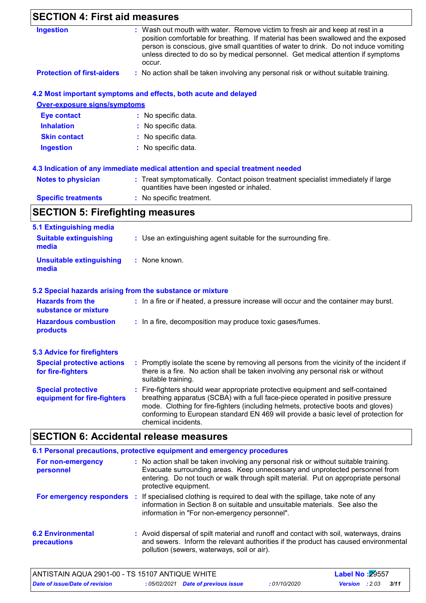| <b>SECTION 4: First aid measures</b>                     |                                                                                                                                                                                                                                                                                                                                                                       |  |
|----------------------------------------------------------|-----------------------------------------------------------------------------------------------------------------------------------------------------------------------------------------------------------------------------------------------------------------------------------------------------------------------------------------------------------------------|--|
| <b>Ingestion</b>                                         | : Wash out mouth with water. Remove victim to fresh air and keep at rest in a<br>position comfortable for breathing. If material has been swallowed and the exposed<br>person is conscious, give small quantities of water to drink. Do not induce vomiting<br>unless directed to do so by medical personnel. Get medical attention if symptoms<br>occur.             |  |
| <b>Protection of first-aiders</b>                        | : No action shall be taken involving any personal risk or without suitable training.                                                                                                                                                                                                                                                                                  |  |
|                                                          | 4.2 Most important symptoms and effects, both acute and delayed                                                                                                                                                                                                                                                                                                       |  |
| <b>Over-exposure signs/symptoms</b>                      |                                                                                                                                                                                                                                                                                                                                                                       |  |
| <b>Eye contact</b>                                       | : No specific data.                                                                                                                                                                                                                                                                                                                                                   |  |
| <b>Inhalation</b>                                        | No specific data.                                                                                                                                                                                                                                                                                                                                                     |  |
| <b>Skin contact</b>                                      | No specific data.                                                                                                                                                                                                                                                                                                                                                     |  |
| <b>Ingestion</b>                                         | : No specific data.                                                                                                                                                                                                                                                                                                                                                   |  |
|                                                          | 4.3 Indication of any immediate medical attention and special treatment needed                                                                                                                                                                                                                                                                                        |  |
| <b>Notes to physician</b>                                | : Treat symptomatically. Contact poison treatment specialist immediately if large<br>quantities have been ingested or inhaled.                                                                                                                                                                                                                                        |  |
| <b>Specific treatments</b>                               | : No specific treatment.                                                                                                                                                                                                                                                                                                                                              |  |
| <b>SECTION 5: Firefighting measures</b>                  |                                                                                                                                                                                                                                                                                                                                                                       |  |
| 5.1 Extinguishing media                                  |                                                                                                                                                                                                                                                                                                                                                                       |  |
| <b>Suitable extinguishing</b><br>media                   | : Use an extinguishing agent suitable for the surrounding fire.                                                                                                                                                                                                                                                                                                       |  |
| <b>Unsuitable extinguishing</b><br>media                 | : None known.                                                                                                                                                                                                                                                                                                                                                         |  |
|                                                          | 5.2 Special hazards arising from the substance or mixture                                                                                                                                                                                                                                                                                                             |  |
| <b>Hazards from the</b><br>substance or mixture          | : In a fire or if heated, a pressure increase will occur and the container may burst.                                                                                                                                                                                                                                                                                 |  |
| <b>Hazardous combustion</b><br>products                  | : In a fire, decomposition may produce toxic gases/fumes.                                                                                                                                                                                                                                                                                                             |  |
| <b>5.3 Advice for firefighters</b>                       |                                                                                                                                                                                                                                                                                                                                                                       |  |
| <b>Special protective actions</b><br>for fire-fighters   | : Promptly isolate the scene by removing all persons from the vicinity of the incident if<br>there is a fire. No action shall be taken involving any personal risk or without<br>suitable training.                                                                                                                                                                   |  |
| <b>Special protective</b><br>equipment for fire-fighters | : Fire-fighters should wear appropriate protective equipment and self-contained<br>breathing apparatus (SCBA) with a full face-piece operated in positive pressure<br>mode. Clothing for fire-fighters (including helmets, protective boots and gloves)<br>conforming to European standard EN 469 will provide a basic level of protection for<br>chemical incidents. |  |

|                                         | 6.1 Personal precautions, protective equipment and emergency procedures                                                                                                                                                                                                            |
|-----------------------------------------|------------------------------------------------------------------------------------------------------------------------------------------------------------------------------------------------------------------------------------------------------------------------------------|
| For non-emergency<br>personnel          | : No action shall be taken involving any personal risk or without suitable training.<br>Evacuate surrounding areas. Keep unnecessary and unprotected personnel from<br>entering. Do not touch or walk through spilt material. Put on appropriate personal<br>protective equipment. |
|                                         | For emergency responders : If specialised clothing is required to deal with the spillage, take note of any<br>information in Section 8 on suitable and unsuitable materials. See also the<br>information in "For non-emergency personnel".                                         |
| <b>6.2 Environmental</b><br>precautions | : Avoid dispersal of spilt material and runoff and contact with soil, waterways, drains<br>and sewers. Inform the relevant authorities if the product has caused environmental<br>pollution (sewers, waterways, soil or air).                                                      |

 $\overline{\phantom{a}}$ 

| ANTISTAIN AQUA 2901-00 - TS 15107 ANTIQUE WHITE |                                     |              | <b>Label No: 29557</b> |      |
|-------------------------------------------------|-------------------------------------|--------------|------------------------|------|
| Date of issue/Date of revision                  | : 05/02/2021 Date of previous issue | : 01/10/2020 | <b>Version</b> : 2.03  | 3/11 |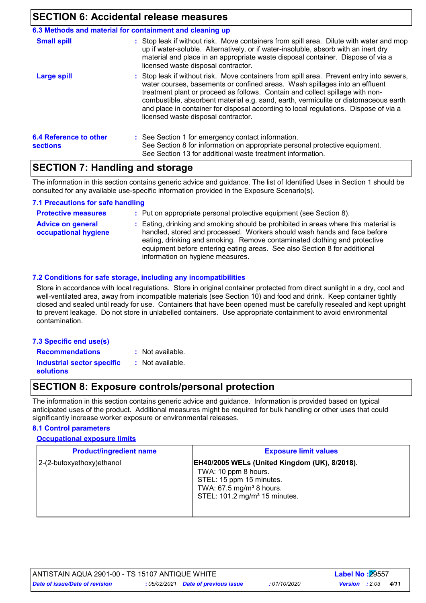### **SECTION 6: Accidental release measures**

|                                                  | 6.3 Methods and material for containment and cleaning up                                                                                                                                                                                                                                                                                                                                                                                                                       |
|--------------------------------------------------|--------------------------------------------------------------------------------------------------------------------------------------------------------------------------------------------------------------------------------------------------------------------------------------------------------------------------------------------------------------------------------------------------------------------------------------------------------------------------------|
| <b>Small spill</b>                               | : Stop leak if without risk. Move containers from spill area. Dilute with water and mop<br>up if water-soluble. Alternatively, or if water-insoluble, absorb with an inert dry<br>material and place in an appropriate waste disposal container. Dispose of via a<br>licensed waste disposal contractor.                                                                                                                                                                       |
| <b>Large spill</b>                               | : Stop leak if without risk. Move containers from spill area. Prevent entry into sewers,<br>water courses, basements or confined areas. Wash spillages into an effluent<br>treatment plant or proceed as follows. Contain and collect spillage with non-<br>combustible, absorbent material e.g. sand, earth, vermiculite or diatomaceous earth<br>and place in container for disposal according to local regulations. Dispose of via a<br>licensed waste disposal contractor. |
| <b>6.4 Reference to other</b><br><b>sections</b> | : See Section 1 for emergency contact information.<br>See Section 8 for information on appropriate personal protective equipment.<br>See Section 13 for additional waste treatment information.                                                                                                                                                                                                                                                                                |

### **SECTION 7: Handling and storage**

The information in this section contains generic advice and guidance. The list of Identified Uses in Section 1 should be consulted for any available use-specific information provided in the Exposure Scenario(s).

#### **7.1 Precautions for safe handling**

| <b>Protective measures</b>                       | : Put on appropriate personal protective equipment (see Section 8).                                                                                                                                                                                                                                                                                           |
|--------------------------------------------------|---------------------------------------------------------------------------------------------------------------------------------------------------------------------------------------------------------------------------------------------------------------------------------------------------------------------------------------------------------------|
| <b>Advice on general</b><br>occupational hygiene | : Eating, drinking and smoking should be prohibited in areas where this material is<br>handled, stored and processed. Workers should wash hands and face before<br>eating, drinking and smoking. Remove contaminated clothing and protective<br>equipment before entering eating areas. See also Section 8 for additional<br>information on hygiene measures. |

#### **7.2 Conditions for safe storage, including any incompatibilities**

Store in accordance with local regulations. Store in original container protected from direct sunlight in a dry, cool and well-ventilated area, away from incompatible materials (see Section 10) and food and drink. Keep container tightly closed and sealed until ready for use. Containers that have been opened must be carefully resealed and kept upright to prevent leakage. Do not store in unlabelled containers. Use appropriate containment to avoid environmental contamination.

| 7.3 Specific end use(s)           |         |
|-----------------------------------|---------|
| <b>Recommendations</b>            | $:$ Not |
| <b>Industrial sector specific</b> | : Not   |

available.

available.

## **solutions**

### **SECTION 8: Exposure controls/personal protection**

The information in this section contains generic advice and guidance. Information is provided based on typical anticipated uses of the product. Additional measures might be required for bulk handling or other uses that could significantly increase worker exposure or environmental releases.

#### **8.1 Control parameters**

#### **Occupational exposure limits**

| <b>Product/ingredient name</b> | <b>Exposure limit values</b>                                                                                                                                                           |
|--------------------------------|----------------------------------------------------------------------------------------------------------------------------------------------------------------------------------------|
| 2-(2-butoxyethoxy)ethanol      | EH40/2005 WELs (United Kingdom (UK), 8/2018).<br>TWA: 10 ppm 8 hours.<br>STEL: 15 ppm 15 minutes.<br>TWA: 67.5 mg/m <sup>3</sup> 8 hours.<br>STEL: 101.2 mg/m <sup>3</sup> 15 minutes. |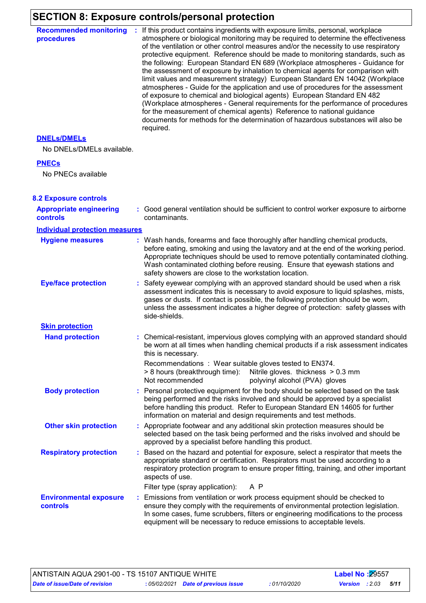# **SECTION 8: Exposure controls/personal protection**

| <b>Recommended monitoring</b><br>procedures       | : If this product contains ingredients with exposure limits, personal, workplace<br>atmosphere or biological monitoring may be required to determine the effectiveness<br>of the ventilation or other control measures and/or the necessity to use respiratory<br>protective equipment. Reference should be made to monitoring standards, such as<br>the following: European Standard EN 689 (Workplace atmospheres - Guidance for<br>the assessment of exposure by inhalation to chemical agents for comparison with<br>limit values and measurement strategy) European Standard EN 14042 (Workplace<br>atmospheres - Guide for the application and use of procedures for the assessment<br>of exposure to chemical and biological agents) European Standard EN 482<br>(Workplace atmospheres - General requirements for the performance of procedures<br>for the measurement of chemical agents) Reference to national guidance<br>documents for methods for the determination of hazardous substances will also be<br>required. |  |
|---------------------------------------------------|------------------------------------------------------------------------------------------------------------------------------------------------------------------------------------------------------------------------------------------------------------------------------------------------------------------------------------------------------------------------------------------------------------------------------------------------------------------------------------------------------------------------------------------------------------------------------------------------------------------------------------------------------------------------------------------------------------------------------------------------------------------------------------------------------------------------------------------------------------------------------------------------------------------------------------------------------------------------------------------------------------------------------------|--|
| <b>DNELS/DMELS</b>                                |                                                                                                                                                                                                                                                                                                                                                                                                                                                                                                                                                                                                                                                                                                                                                                                                                                                                                                                                                                                                                                    |  |
| No DNELs/DMELs available.                         |                                                                                                                                                                                                                                                                                                                                                                                                                                                                                                                                                                                                                                                                                                                                                                                                                                                                                                                                                                                                                                    |  |
| <b>PNECs</b>                                      |                                                                                                                                                                                                                                                                                                                                                                                                                                                                                                                                                                                                                                                                                                                                                                                                                                                                                                                                                                                                                                    |  |
| No PNECs available                                |                                                                                                                                                                                                                                                                                                                                                                                                                                                                                                                                                                                                                                                                                                                                                                                                                                                                                                                                                                                                                                    |  |
| <b>8.2 Exposure controls</b>                      |                                                                                                                                                                                                                                                                                                                                                                                                                                                                                                                                                                                                                                                                                                                                                                                                                                                                                                                                                                                                                                    |  |
| <b>Appropriate engineering</b><br><b>controls</b> | : Good general ventilation should be sufficient to control worker exposure to airborne<br>contaminants.                                                                                                                                                                                                                                                                                                                                                                                                                                                                                                                                                                                                                                                                                                                                                                                                                                                                                                                            |  |
| <b>Individual protection measures</b>             |                                                                                                                                                                                                                                                                                                                                                                                                                                                                                                                                                                                                                                                                                                                                                                                                                                                                                                                                                                                                                                    |  |
| <b>Hygiene measures</b>                           | : Wash hands, forearms and face thoroughly after handling chemical products,<br>before eating, smoking and using the lavatory and at the end of the working period.<br>Appropriate techniques should be used to remove potentially contaminated clothing.<br>Wash contaminated clothing before reusing. Ensure that eyewash stations and<br>safety showers are close to the workstation location.                                                                                                                                                                                                                                                                                                                                                                                                                                                                                                                                                                                                                                  |  |
| <b>Eye/face protection</b>                        | : Safety eyewear complying with an approved standard should be used when a risk<br>assessment indicates this is necessary to avoid exposure to liquid splashes, mists,<br>gases or dusts. If contact is possible, the following protection should be worn,<br>unless the assessment indicates a higher degree of protection: safety glasses with<br>side-shields.                                                                                                                                                                                                                                                                                                                                                                                                                                                                                                                                                                                                                                                                  |  |
| <b>Skin protection</b>                            |                                                                                                                                                                                                                                                                                                                                                                                                                                                                                                                                                                                                                                                                                                                                                                                                                                                                                                                                                                                                                                    |  |
| <b>Hand protection</b>                            | : Chemical-resistant, impervious gloves complying with an approved standard should<br>be worn at all times when handling chemical products if a risk assessment indicates<br>this is necessary.                                                                                                                                                                                                                                                                                                                                                                                                                                                                                                                                                                                                                                                                                                                                                                                                                                    |  |
|                                                   | Recommendations: Wear suitable gloves tested to EN374.<br>> 8 hours (breakthrough time):<br>Nitrile gloves. thickness > 0.3 mm<br>Not recommended<br>polyvinyl alcohol (PVA) gloves                                                                                                                                                                                                                                                                                                                                                                                                                                                                                                                                                                                                                                                                                                                                                                                                                                                |  |
| <b>Body protection</b>                            | : Personal protective equipment for the body should be selected based on the task<br>being performed and the risks involved and should be approved by a specialist<br>before handling this product. Refer to European Standard EN 14605 for further<br>information on material and design requirements and test methods.                                                                                                                                                                                                                                                                                                                                                                                                                                                                                                                                                                                                                                                                                                           |  |
| <b>Other skin protection</b>                      | : Appropriate footwear and any additional skin protection measures should be<br>selected based on the task being performed and the risks involved and should be<br>approved by a specialist before handling this product.                                                                                                                                                                                                                                                                                                                                                                                                                                                                                                                                                                                                                                                                                                                                                                                                          |  |
| <b>Respiratory protection</b>                     | : Based on the hazard and potential for exposure, select a respirator that meets the<br>appropriate standard or certification. Respirators must be used according to a<br>respiratory protection program to ensure proper fitting, training, and other important<br>aspects of use.                                                                                                                                                                                                                                                                                                                                                                                                                                                                                                                                                                                                                                                                                                                                                |  |
|                                                   | Filter type (spray application):<br>A P                                                                                                                                                                                                                                                                                                                                                                                                                                                                                                                                                                                                                                                                                                                                                                                                                                                                                                                                                                                            |  |
| <b>Environmental exposure</b><br>controls         | : Emissions from ventilation or work process equipment should be checked to<br>ensure they comply with the requirements of environmental protection legislation.<br>In some cases, fume scrubbers, filters or engineering modifications to the process<br>equipment will be necessary to reduce emissions to acceptable levels.                                                                                                                                                                                                                                                                                                                                                                                                                                                                                                                                                                                                                                                                                                    |  |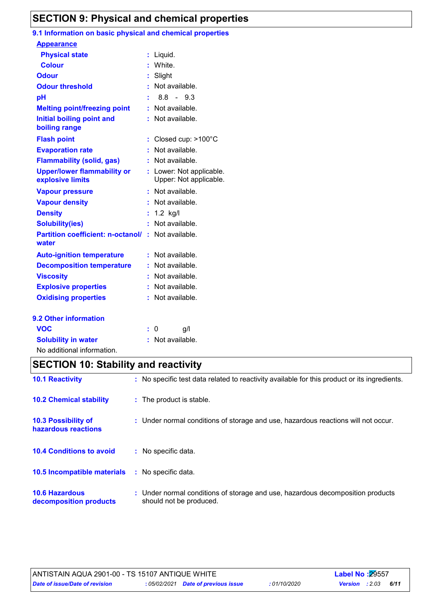### **SECTION 9: Physical and chemical properties**

### **9.1 Information on basic physical and chemical properties**

| <b>Appearance</b>                                      |    |                                                    |
|--------------------------------------------------------|----|----------------------------------------------------|
| <b>Physical state</b>                                  | ÷. | Liquid.                                            |
| <b>Colour</b>                                          |    | White.                                             |
| <b>Odour</b>                                           |    | Slight                                             |
| <b>Odour threshold</b>                                 |    | Not available.                                     |
| pH                                                     |    | $8.8 -$<br>9.3                                     |
| <b>Melting point/freezing point</b>                    |    | Not available.                                     |
| <b>Initial boiling point and</b><br>boiling range      |    | Not available.                                     |
| <b>Flash point</b>                                     | t. | Closed cup: >100°C                                 |
| <b>Evaporation rate</b>                                |    | Not available.                                     |
| <b>Flammability (solid, gas)</b>                       |    | Not available.                                     |
| <b>Upper/lower flammability or</b><br>explosive limits |    | : Lower: Not applicable.<br>Upper: Not applicable. |
| <b>Vapour pressure</b>                                 | t  | Not available.                                     |
| <b>Vapour density</b>                                  |    | Not available.                                     |
| <b>Density</b>                                         | t. | $1.2$ kg/l                                         |
| <b>Solubility(ies)</b>                                 |    | Not available.                                     |
| <b>Partition coefficient: n-octanol/</b><br>water      | ÷. | Not available.                                     |
| <b>Auto-ignition temperature</b>                       |    | Not available.                                     |
| <b>Decomposition temperature</b>                       | ÷. | Not available.                                     |
| <b>Viscosity</b>                                       |    | Not available.                                     |
| <b>Explosive properties</b>                            |    | Not available.                                     |
| <b>Oxidising properties</b>                            |    | Not available.                                     |
| 9.2 Other information                                  |    |                                                    |
| <b>VOC</b>                                             |    | g/l<br>0                                           |
| <b>Solubility in water</b>                             |    | Not available.                                     |

No additional information.

### **SECTION 10: Stability and reactivity**

| <b>10.1 Reactivity</b>                          | : No specific test data related to reactivity available for this product or its ingredients.              |
|-------------------------------------------------|-----------------------------------------------------------------------------------------------------------|
| <b>10.2 Chemical stability</b>                  | : The product is stable.                                                                                  |
| 10.3 Possibility of<br>hazardous reactions      | : Under normal conditions of storage and use, hazardous reactions will not occur.                         |
| <b>10.4 Conditions to avoid</b>                 | : No specific data.                                                                                       |
| 10.5 Incompatible materials                     | : No specific data.                                                                                       |
| <b>10.6 Hazardous</b><br>decomposition products | : Under normal conditions of storage and use, hazardous decomposition products<br>should not be produced. |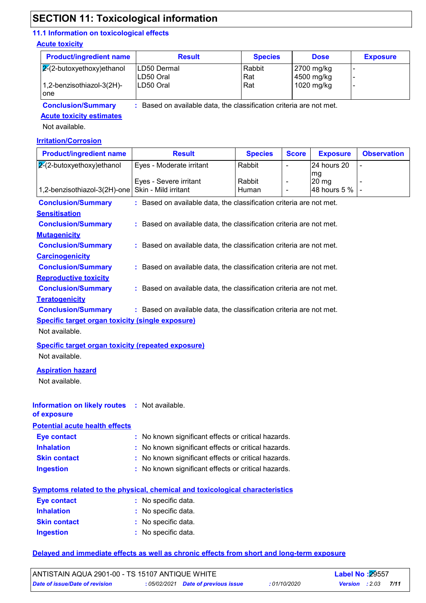### **SECTION 11: Toxicological information**

### **11.1 Information on toxicological effects**

#### **Acute toxicity**

| <b>Product/ingredient name</b>   | <b>Result</b>                                                     | <b>Species</b> | <b>Dose</b>              | <b>Exposure</b> |  |  |
|----------------------------------|-------------------------------------------------------------------|----------------|--------------------------|-----------------|--|--|
| $\sqrt{2}$ -butoxyethoxy)ethanol | ILD50 Dermal<br>LD50 Oral                                         | Rabbit<br> Rat | 2700 mg/kg<br>4500 mg/kg |                 |  |  |
| 1,2-benzisothiazol-3(2H)-<br>one | LD50 Oral                                                         | Rat            | 1020 mg/kg               |                 |  |  |
| <b>Conclusion/Summary</b>        | Based on available data, the classification criteria are not met. |                |                          |                 |  |  |

**Conclusion/Summary :**

**Acute toxicity estimates**

Not available.

#### **Irritation/Corrosion**

| <b>Product/ingredient name</b>                                                                   | <b>Result</b>                                                                       | <b>Species</b> | <b>Score</b>   | <b>Exposure</b>        | <b>Observation</b> |  |  |  |
|--------------------------------------------------------------------------------------------------|-------------------------------------------------------------------------------------|----------------|----------------|------------------------|--------------------|--|--|--|
| $2(2-butoxyethoxy)ethanol$                                                                       | Eyes - Moderate irritant                                                            | Rabbit         | $\blacksquare$ | 24 hours 20            |                    |  |  |  |
|                                                                                                  | Eyes - Severe irritant                                                              | Rabbit         |                | mg<br>20 <sub>mg</sub> |                    |  |  |  |
| 1,2-benzisothiazol-3(2H)-one                                                                     | Skin - Mild irritant                                                                | Human          |                | 48 hours 5 %           |                    |  |  |  |
| : Based on available data, the classification criteria are not met.<br><b>Conclusion/Summary</b> |                                                                                     |                |                |                        |                    |  |  |  |
| <b>Sensitisation</b>                                                                             |                                                                                     |                |                |                        |                    |  |  |  |
| <b>Conclusion/Summary</b><br>: Based on available data, the classification criteria are not met. |                                                                                     |                |                |                        |                    |  |  |  |
| <b>Mutagenicity</b>                                                                              |                                                                                     |                |                |                        |                    |  |  |  |
| <b>Conclusion/Summary</b>                                                                        | : Based on available data, the classification criteria are not met.                 |                |                |                        |                    |  |  |  |
| <b>Carcinogenicity</b>                                                                           |                                                                                     |                |                |                        |                    |  |  |  |
| <b>Conclusion/Summary</b>                                                                        | : Based on available data, the classification criteria are not met.                 |                |                |                        |                    |  |  |  |
| <b>Reproductive toxicity</b>                                                                     |                                                                                     |                |                |                        |                    |  |  |  |
| <b>Conclusion/Summary</b>                                                                        | : Based on available data, the classification criteria are not met.                 |                |                |                        |                    |  |  |  |
| <b>Teratogenicity</b>                                                                            |                                                                                     |                |                |                        |                    |  |  |  |
| <b>Conclusion/Summary</b>                                                                        | : Based on available data, the classification criteria are not met.                 |                |                |                        |                    |  |  |  |
| <b>Specific target organ toxicity (single exposure)</b>                                          |                                                                                     |                |                |                        |                    |  |  |  |
| Not available.                                                                                   |                                                                                     |                |                |                        |                    |  |  |  |
| <b>Specific target organ toxicity (repeated exposure)</b>                                        |                                                                                     |                |                |                        |                    |  |  |  |
| Not available.                                                                                   |                                                                                     |                |                |                        |                    |  |  |  |
| <b>Aspiration hazard</b>                                                                         |                                                                                     |                |                |                        |                    |  |  |  |
| Not available.                                                                                   |                                                                                     |                |                |                        |                    |  |  |  |
|                                                                                                  |                                                                                     |                |                |                        |                    |  |  |  |
| <b>Information on likely routes</b>                                                              | : Not available.                                                                    |                |                |                        |                    |  |  |  |
| of exposure                                                                                      |                                                                                     |                |                |                        |                    |  |  |  |
| <b>Potential acute health effects</b>                                                            |                                                                                     |                |                |                        |                    |  |  |  |
| <b>Eye contact</b>                                                                               | : No known significant effects or critical hazards.                                 |                |                |                        |                    |  |  |  |
| <b>Inhalation</b>                                                                                | : No known significant effects or critical hazards.                                 |                |                |                        |                    |  |  |  |
| <b>Skin contact</b>                                                                              | : No known significant effects or critical hazards.                                 |                |                |                        |                    |  |  |  |
| <b>Ingestion</b>                                                                                 | : No known significant effects or critical hazards.                                 |                |                |                        |                    |  |  |  |
|                                                                                                  |                                                                                     |                |                |                        |                    |  |  |  |
|                                                                                                  | <b>Symptoms related to the physical, chemical and toxicological characteristics</b> |                |                |                        |                    |  |  |  |
| <b>Eye contact</b>                                                                               | : No specific data.                                                                 |                |                |                        |                    |  |  |  |
| <b>Inhalation</b>                                                                                | : No specific data.                                                                 |                |                |                        |                    |  |  |  |
| <b>Skin contact</b>                                                                              | : No specific data.                                                                 |                |                |                        |                    |  |  |  |
| <b>Ingestion</b>                                                                                 | : No specific data.                                                                 |                |                |                        |                    |  |  |  |
|                                                                                                  |                                                                                     |                |                |                        |                    |  |  |  |

#### **Delayed and immediate effects as well as chronic effects from short and long-term exposure**

| ANTISTAIN AQUA 2901-00 - TS 15107 ANTIQUE WHITE |  | <b>Label No: 29557</b>              |              |                       |      |
|-------------------------------------------------|--|-------------------------------------|--------------|-----------------------|------|
| Date of issue/Date of revision                  |  | : 05/02/2021 Date of previous issue | : 01/10/2020 | <b>Version</b> : 2.03 | 7/11 |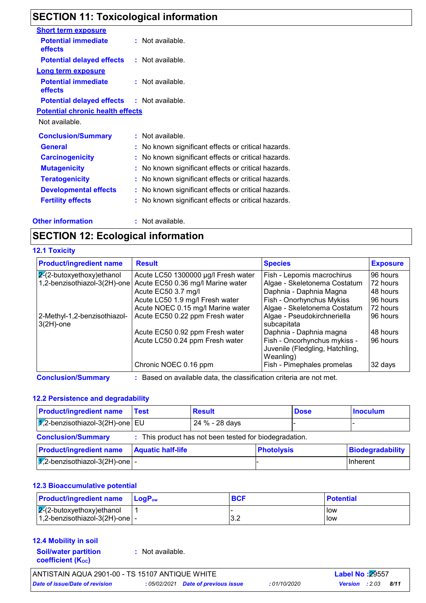### **SECTION 11: Toxicological information**

| <b>Short term exposure</b>                        |                                                     |  |
|---------------------------------------------------|-----------------------------------------------------|--|
| <b>Potential immediate</b><br>effects             | : Not available.                                    |  |
| Potential delayed effects                         | : Not available.                                    |  |
| <b>Long term exposure</b>                         |                                                     |  |
| <b>Potential immediate</b><br>effects             | : Not available.                                    |  |
| <b>Potential delayed effects : Not available.</b> |                                                     |  |
| <b>Potential chronic health effects</b>           |                                                     |  |
| Not available.                                    |                                                     |  |
| <b>Conclusion/Summary</b>                         | : Not available.                                    |  |
| <b>General</b>                                    | : No known significant effects or critical hazards. |  |
| <b>Carcinogenicity</b>                            | No known significant effects or critical hazards.   |  |
| <b>Mutagenicity</b>                               | No known significant effects or critical hazards.   |  |
| <b>Teratogenicity</b>                             | No known significant effects or critical hazards.   |  |
| <b>Developmental effects</b>                      | No known significant effects or critical hazards.   |  |
| <b>Fertility effects</b>                          | No known significant effects or critical hazards.   |  |
|                                                   |                                                     |  |

#### **Other information :**

: Not available.

### **SECTION 12: Ecological information**

### **12.1 Toxicity**

| <b>Product/ingredient name</b>               | <b>Result</b>                                                     | <b>Species</b>                                                               | <b>Exposure</b> |
|----------------------------------------------|-------------------------------------------------------------------|------------------------------------------------------------------------------|-----------------|
| $2-(2-butoxyethoxy)ethanol$                  | Acute LC50 1300000 µg/l Fresh water                               | Fish - Lepomis macrochirus                                                   | 96 hours        |
| 1,2-benzisothiazol-3(2H)-one                 | Acute EC50 0.36 mg/l Marine water                                 | Algae - Skeletonema Costatum                                                 | 72 hours        |
|                                              | Acute EC50 3.7 mg/l                                               | Daphnia - Daphnia Magna                                                      | 48 hours        |
|                                              | Acute LC50 1.9 mg/l Fresh water                                   | Fish - Onorhynchus Mykiss                                                    | 96 hours        |
|                                              | Acute NOEC 0.15 mg/l Marine water                                 | Algae - Skeletonema Costatum                                                 | 72 hours        |
| 2-Methyl-1,2-benzisothiazol-<br>$3(2H)$ -one | Acute EC50 0.22 ppm Fresh water                                   | Algae - Pseudokirchneriella<br>subcapitata                                   | 96 hours        |
|                                              | Acute EC50 0.92 ppm Fresh water                                   | Daphnia - Daphnia magna                                                      | 48 hours        |
|                                              | Acute LC50 0.24 ppm Fresh water                                   | Fish - Oncorhynchus mykiss -<br>Juvenile (Fledgling, Hatchling,<br>Weanling) | 96 hours        |
|                                              | Chronic NOEC 0.16 ppm                                             | Fish - Pimephales promelas                                                   | 32 days         |
| <b>Conclusion/Summary</b>                    | Based on available data, the classification criteria are not met. |                                                                              |                 |

**12.2 Persistence and degradability**

| <b>Product/ingredient name</b>                                                      | Test              | <b>Result</b>  |                   | <b>Dose</b> | <b>Inoculum</b>  |
|-------------------------------------------------------------------------------------|-------------------|----------------|-------------------|-------------|------------------|
| $ \chi$ <sub>2</sub> -benzisothiazol-3(2H)-one EU                                   |                   | 24 % - 28 days |                   |             |                  |
| : This product has not been tested for biodegradation.<br><b>Conclusion/Summary</b> |                   |                |                   |             |                  |
| <b>Droductlingradiant name</b>                                                      | Aguatic half-life |                | <b>Dhotolysis</b> |             | Riodogradahility |

| <b>Product/ingredient name</b>           | <b>Aquatic half-life</b> | <b>Photolysis</b> | Biodegradability |  |
|------------------------------------------|--------------------------|-------------------|------------------|--|
| $\sqrt{1/2}$ -benzisothiazol-3(2H)-one - |                          |                   | <b>Inherent</b>  |  |

#### **12.3 Bioaccumulative potential**

| <b>Product/ingredient name</b>        | <b>LogP</b> <sub>ow</sub> | <b>BCF</b>      | <b>Potential</b> |
|---------------------------------------|---------------------------|-----------------|------------------|
| $\sqrt{2}$ -2-butoxyethoxy)ethanol    |                           |                 | l low            |
| $ 1,2$ -benzisothiazol-3(2H)-one $ -$ |                           | <u>ົ</u><br>◡.∠ | low              |

#### **12.4 Mobility in soil**

**Soil/water partition coefficient (KOC)**

**:** Not available.

| ANTISTAIN AQUA 2901-00 - TS 15107 ANTIQUE WHITE |  | <b>Label No:29557</b>               |              |                       |      |
|-------------------------------------------------|--|-------------------------------------|--------------|-----------------------|------|
| Date of issue/Date of revision                  |  | : 05/02/2021 Date of previous issue | : 01/10/2020 | <b>Version</b> : 2.03 | 8/11 |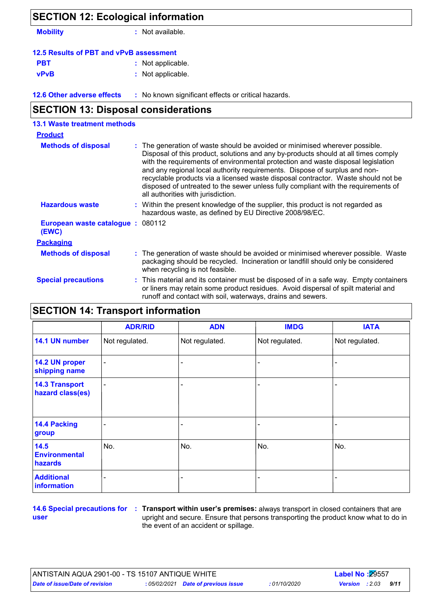| <b>SECTION 12: Ecological information</b>           |  |  |  |  |  |
|-----------------------------------------------------|--|--|--|--|--|
| : Not available.                                    |  |  |  |  |  |
| 12.5 Results of PBT and vPvB assessment             |  |  |  |  |  |
| : Not applicable.                                   |  |  |  |  |  |
| : Not applicable.                                   |  |  |  |  |  |
| : No known significant effects or critical hazards. |  |  |  |  |  |
|                                                     |  |  |  |  |  |

| <b>13.1 Waste treatment methods</b>       |                                                                                                                                                                                                                                                                                                                                                                                                                                                                                                                                                      |
|-------------------------------------------|------------------------------------------------------------------------------------------------------------------------------------------------------------------------------------------------------------------------------------------------------------------------------------------------------------------------------------------------------------------------------------------------------------------------------------------------------------------------------------------------------------------------------------------------------|
| <b>Product</b>                            |                                                                                                                                                                                                                                                                                                                                                                                                                                                                                                                                                      |
| <b>Methods of disposal</b>                | : The generation of waste should be avoided or minimised wherever possible.<br>Disposal of this product, solutions and any by-products should at all times comply<br>with the requirements of environmental protection and waste disposal legislation<br>and any regional local authority requirements. Dispose of surplus and non-<br>recyclable products via a licensed waste disposal contractor. Waste should not be<br>disposed of untreated to the sewer unless fully compliant with the requirements of<br>all authorities with jurisdiction. |
| <b>Hazardous waste</b>                    | : Within the present knowledge of the supplier, this product is not regarded as<br>hazardous waste, as defined by EU Directive 2008/98/EC.                                                                                                                                                                                                                                                                                                                                                                                                           |
| European waste catalogue: 080112<br>(EWC) |                                                                                                                                                                                                                                                                                                                                                                                                                                                                                                                                                      |
| <b>Packaging</b>                          |                                                                                                                                                                                                                                                                                                                                                                                                                                                                                                                                                      |
| <b>Methods of disposal</b>                | : The generation of waste should be avoided or minimised wherever possible. Waste<br>packaging should be recycled. Incineration or landfill should only be considered<br>when recycling is not feasible.                                                                                                                                                                                                                                                                                                                                             |
| <b>Special precautions</b>                | : This material and its container must be disposed of in a safe way. Empty containers<br>or liners may retain some product residues. Avoid dispersal of spilt material and<br>runoff and contact with soil, waterways, drains and sewers.                                                                                                                                                                                                                                                                                                            |

### **SECTION 14: Transport information**

|                                           | <b>ADR/RID</b>               | <b>ADN</b>               | <b>IMDG</b>    | <b>IATA</b>    |
|-------------------------------------------|------------------------------|--------------------------|----------------|----------------|
| 14.1 UN number                            | Not regulated.               | Not regulated.           | Not regulated. | Not regulated. |
| 14.2 UN proper<br>shipping name           | $\qquad \qquad \blacksquare$ |                          |                |                |
| <b>14.3 Transport</b><br>hazard class(es) | $\blacksquare$               |                          |                |                |
| <b>14.4 Packing</b><br>group              |                              |                          |                |                |
| 14.5<br><b>Environmental</b><br>hazards   | No.                          | No.                      | No.            | No.            |
| <b>Additional</b><br>information          |                              | $\overline{\phantom{0}}$ |                |                |

**user**

**14.6 Special precautions for : Transport within user's premises: always transport in closed containers that are** upright and secure. Ensure that persons transporting the product know what to do in the event of an accident or spillage.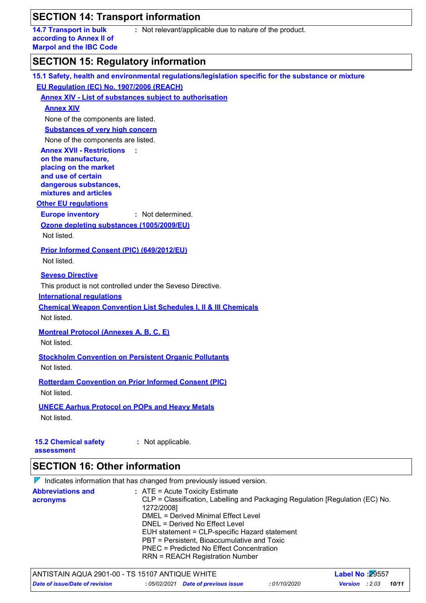### **SECTION 14: Transport information**

**14.7 Transport in bulk according to Annex II of Marpol and the IBC Code** **:** Not relevant/applicable due to nature of the product.

### **SECTION 15: Regulatory information**

| EU Regulation (EC) No. 1907/2006 (REACH)<br><b>Annex XIV - List of substances subject to authorisation</b><br><b>Annex XIV</b><br>None of the components are listed.<br><b>Substances of very high concern</b><br>None of the components are listed.<br><b>Annex XVII - Restrictions</b><br>- 11<br>on the manufacture,<br>placing on the market<br>and use of certain<br>dangerous substances,<br>mixtures and articles<br><b>Other EU regulations</b><br><b>Europe inventory</b><br>: Not determined.<br>Ozone depleting substances (1005/2009/EU)<br>Not listed.<br>Prior Informed Consent (PIC) (649/2012/EU)<br>Not listed.<br><b>Seveso Directive</b><br>This product is not controlled under the Seveso Directive.<br><b>International regulations</b><br><b>Chemical Weapon Convention List Schedules I, II &amp; III Chemicals</b><br>Not listed.<br><b>Montreal Protocol (Annexes A, B, C, E)</b><br>Not listed.<br><b>Stockholm Convention on Persistent Organic Pollutants</b><br>Not listed.<br><b>Rotterdam Convention on Prior Informed Consent (PIC)</b><br>Not listed.<br><b>UNECE Aarhus Protocol on POPs and Heavy Metals</b><br>Not listed.<br><b>15.2 Chemical safety</b><br>: Not applicable.<br>assessment<br><b>SECTION 16: Other information</b><br>$\nabla$ Indicates information that has changed from previously issued version. | 15.1 Safety, health and environmental regulations/legislation specific for the substance or mixture |
|--------------------------------------------------------------------------------------------------------------------------------------------------------------------------------------------------------------------------------------------------------------------------------------------------------------------------------------------------------------------------------------------------------------------------------------------------------------------------------------------------------------------------------------------------------------------------------------------------------------------------------------------------------------------------------------------------------------------------------------------------------------------------------------------------------------------------------------------------------------------------------------------------------------------------------------------------------------------------------------------------------------------------------------------------------------------------------------------------------------------------------------------------------------------------------------------------------------------------------------------------------------------------------------------------------------------------------------------------------------|-----------------------------------------------------------------------------------------------------|
|                                                                                                                                                                                                                                                                                                                                                                                                                                                                                                                                                                                                                                                                                                                                                                                                                                                                                                                                                                                                                                                                                                                                                                                                                                                                                                                                                              |                                                                                                     |
|                                                                                                                                                                                                                                                                                                                                                                                                                                                                                                                                                                                                                                                                                                                                                                                                                                                                                                                                                                                                                                                                                                                                                                                                                                                                                                                                                              |                                                                                                     |
|                                                                                                                                                                                                                                                                                                                                                                                                                                                                                                                                                                                                                                                                                                                                                                                                                                                                                                                                                                                                                                                                                                                                                                                                                                                                                                                                                              |                                                                                                     |
|                                                                                                                                                                                                                                                                                                                                                                                                                                                                                                                                                                                                                                                                                                                                                                                                                                                                                                                                                                                                                                                                                                                                                                                                                                                                                                                                                              |                                                                                                     |
|                                                                                                                                                                                                                                                                                                                                                                                                                                                                                                                                                                                                                                                                                                                                                                                                                                                                                                                                                                                                                                                                                                                                                                                                                                                                                                                                                              |                                                                                                     |
|                                                                                                                                                                                                                                                                                                                                                                                                                                                                                                                                                                                                                                                                                                                                                                                                                                                                                                                                                                                                                                                                                                                                                                                                                                                                                                                                                              |                                                                                                     |
|                                                                                                                                                                                                                                                                                                                                                                                                                                                                                                                                                                                                                                                                                                                                                                                                                                                                                                                                                                                                                                                                                                                                                                                                                                                                                                                                                              |                                                                                                     |
|                                                                                                                                                                                                                                                                                                                                                                                                                                                                                                                                                                                                                                                                                                                                                                                                                                                                                                                                                                                                                                                                                                                                                                                                                                                                                                                                                              |                                                                                                     |
|                                                                                                                                                                                                                                                                                                                                                                                                                                                                                                                                                                                                                                                                                                                                                                                                                                                                                                                                                                                                                                                                                                                                                                                                                                                                                                                                                              |                                                                                                     |
|                                                                                                                                                                                                                                                                                                                                                                                                                                                                                                                                                                                                                                                                                                                                                                                                                                                                                                                                                                                                                                                                                                                                                                                                                                                                                                                                                              |                                                                                                     |
|                                                                                                                                                                                                                                                                                                                                                                                                                                                                                                                                                                                                                                                                                                                                                                                                                                                                                                                                                                                                                                                                                                                                                                                                                                                                                                                                                              |                                                                                                     |
|                                                                                                                                                                                                                                                                                                                                                                                                                                                                                                                                                                                                                                                                                                                                                                                                                                                                                                                                                                                                                                                                                                                                                                                                                                                                                                                                                              |                                                                                                     |
|                                                                                                                                                                                                                                                                                                                                                                                                                                                                                                                                                                                                                                                                                                                                                                                                                                                                                                                                                                                                                                                                                                                                                                                                                                                                                                                                                              |                                                                                                     |
|                                                                                                                                                                                                                                                                                                                                                                                                                                                                                                                                                                                                                                                                                                                                                                                                                                                                                                                                                                                                                                                                                                                                                                                                                                                                                                                                                              |                                                                                                     |
|                                                                                                                                                                                                                                                                                                                                                                                                                                                                                                                                                                                                                                                                                                                                                                                                                                                                                                                                                                                                                                                                                                                                                                                                                                                                                                                                                              |                                                                                                     |
|                                                                                                                                                                                                                                                                                                                                                                                                                                                                                                                                                                                                                                                                                                                                                                                                                                                                                                                                                                                                                                                                                                                                                                                                                                                                                                                                                              |                                                                                                     |
|                                                                                                                                                                                                                                                                                                                                                                                                                                                                                                                                                                                                                                                                                                                                                                                                                                                                                                                                                                                                                                                                                                                                                                                                                                                                                                                                                              |                                                                                                     |
|                                                                                                                                                                                                                                                                                                                                                                                                                                                                                                                                                                                                                                                                                                                                                                                                                                                                                                                                                                                                                                                                                                                                                                                                                                                                                                                                                              |                                                                                                     |
|                                                                                                                                                                                                                                                                                                                                                                                                                                                                                                                                                                                                                                                                                                                                                                                                                                                                                                                                                                                                                                                                                                                                                                                                                                                                                                                                                              |                                                                                                     |
|                                                                                                                                                                                                                                                                                                                                                                                                                                                                                                                                                                                                                                                                                                                                                                                                                                                                                                                                                                                                                                                                                                                                                                                                                                                                                                                                                              |                                                                                                     |
|                                                                                                                                                                                                                                                                                                                                                                                                                                                                                                                                                                                                                                                                                                                                                                                                                                                                                                                                                                                                                                                                                                                                                                                                                                                                                                                                                              |                                                                                                     |
|                                                                                                                                                                                                                                                                                                                                                                                                                                                                                                                                                                                                                                                                                                                                                                                                                                                                                                                                                                                                                                                                                                                                                                                                                                                                                                                                                              |                                                                                                     |
|                                                                                                                                                                                                                                                                                                                                                                                                                                                                                                                                                                                                                                                                                                                                                                                                                                                                                                                                                                                                                                                                                                                                                                                                                                                                                                                                                              |                                                                                                     |
|                                                                                                                                                                                                                                                                                                                                                                                                                                                                                                                                                                                                                                                                                                                                                                                                                                                                                                                                                                                                                                                                                                                                                                                                                                                                                                                                                              |                                                                                                     |
|                                                                                                                                                                                                                                                                                                                                                                                                                                                                                                                                                                                                                                                                                                                                                                                                                                                                                                                                                                                                                                                                                                                                                                                                                                                                                                                                                              |                                                                                                     |
|                                                                                                                                                                                                                                                                                                                                                                                                                                                                                                                                                                                                                                                                                                                                                                                                                                                                                                                                                                                                                                                                                                                                                                                                                                                                                                                                                              |                                                                                                     |
|                                                                                                                                                                                                                                                                                                                                                                                                                                                                                                                                                                                                                                                                                                                                                                                                                                                                                                                                                                                                                                                                                                                                                                                                                                                                                                                                                              |                                                                                                     |
|                                                                                                                                                                                                                                                                                                                                                                                                                                                                                                                                                                                                                                                                                                                                                                                                                                                                                                                                                                                                                                                                                                                                                                                                                                                                                                                                                              |                                                                                                     |
|                                                                                                                                                                                                                                                                                                                                                                                                                                                                                                                                                                                                                                                                                                                                                                                                                                                                                                                                                                                                                                                                                                                                                                                                                                                                                                                                                              |                                                                                                     |
|                                                                                                                                                                                                                                                                                                                                                                                                                                                                                                                                                                                                                                                                                                                                                                                                                                                                                                                                                                                                                                                                                                                                                                                                                                                                                                                                                              |                                                                                                     |
|                                                                                                                                                                                                                                                                                                                                                                                                                                                                                                                                                                                                                                                                                                                                                                                                                                                                                                                                                                                                                                                                                                                                                                                                                                                                                                                                                              |                                                                                                     |
|                                                                                                                                                                                                                                                                                                                                                                                                                                                                                                                                                                                                                                                                                                                                                                                                                                                                                                                                                                                                                                                                                                                                                                                                                                                                                                                                                              |                                                                                                     |
|                                                                                                                                                                                                                                                                                                                                                                                                                                                                                                                                                                                                                                                                                                                                                                                                                                                                                                                                                                                                                                                                                                                                                                                                                                                                                                                                                              |                                                                                                     |
|                                                                                                                                                                                                                                                                                                                                                                                                                                                                                                                                                                                                                                                                                                                                                                                                                                                                                                                                                                                                                                                                                                                                                                                                                                                                                                                                                              |                                                                                                     |
|                                                                                                                                                                                                                                                                                                                                                                                                                                                                                                                                                                                                                                                                                                                                                                                                                                                                                                                                                                                                                                                                                                                                                                                                                                                                                                                                                              |                                                                                                     |
|                                                                                                                                                                                                                                                                                                                                                                                                                                                                                                                                                                                                                                                                                                                                                                                                                                                                                                                                                                                                                                                                                                                                                                                                                                                                                                                                                              |                                                                                                     |
|                                                                                                                                                                                                                                                                                                                                                                                                                                                                                                                                                                                                                                                                                                                                                                                                                                                                                                                                                                                                                                                                                                                                                                                                                                                                                                                                                              |                                                                                                     |

|                          |  | r indicated implifiation that has changed non-previously issued version.                    |
|--------------------------|--|---------------------------------------------------------------------------------------------|
| <b>Abbreviations and</b> |  | $\therefore$ ATE = Acute Toxicity Estimate                                                  |
| acronyms                 |  | CLP = Classification, Labelling and Packaging Regulation [Regulation (EC) No.<br>1272/2008] |
|                          |  | DMEL = Derived Minimal Effect Level                                                         |
|                          |  | DNEL = Derived No Effect Level                                                              |
|                          |  | EUH statement = CLP-specific Hazard statement                                               |
|                          |  | PBT = Persistent, Bioaccumulative and Toxic                                                 |
|                          |  | PNEC = Predicted No Effect Concentration                                                    |
|                          |  | <b>RRN = REACH Registration Number</b>                                                      |
|                          |  |                                                                                             |